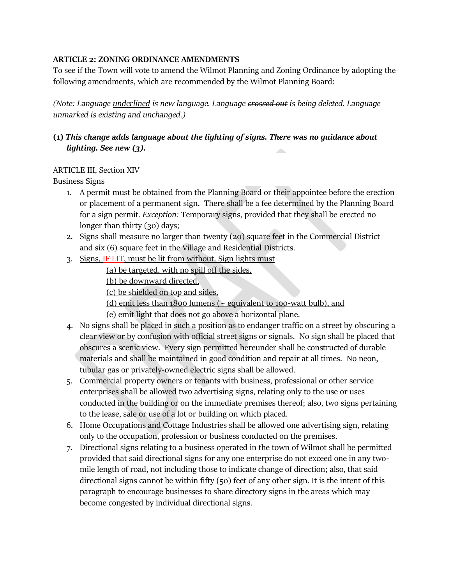### **ARTICLE 2: ZONING ORDINANCE AMENDMENTS**

To see if the Town will vote to amend the Wilmot Planning and Zoning Ordinance by adopting the following amendments, which are recommended by the Wilmot Planning Board:

*(Note: Language underlined is new language. Language crossed out is being deleted. Language unmarked is existing and unchanged.)*

# **(1)** *This change adds language about the lighting of signs. There was no guidance about lighting. See new (3).*

# ARTICLE III, Section XIV

Business Signs

- 1. A permit must be obtained from the Planning Board or their appointee before the erection or placement of a permanent sign. There shall be a fee determined by the Planning Board for a sign permit. *Exception:* Temporary signs, provided that they shall be erected no longer than thirty (30) days;
- 2. Signs shall measure no larger than twenty (20) square feet in the Commercial District and six (6) square feet in the Village and Residential Districts.
- 3. Signs, IF LIT, must be lit from without. Sign lights must

(a) be targeted, with no spill off the sides,

(b) be downward directed,

(c) be shielded on top and sides,

(d) emit less than 1800 lumens ( $\sim$  equivalent to 100-watt bulb), and

(e) emit light that does not go above a horizontal plane.

- 4. No signs shall be placed in such a position as to endanger traffic on a street by obscuring a clear view or by confusion with official street signs or signals. No sign shall be placed that obscures a scenic view. Every sign permitted hereunder shall be constructed of durable materials and shall be maintained in good condition and repair at all times. No neon, tubular gas or privately-owned electric signs shall be allowed.
- 5. Commercial property owners or tenants with business, professional or other service enterprises shall be allowed two advertising signs, relating only to the use or uses conducted in the building or on the immediate premises thereof; also, two signs pertaining to the lease, sale or use of a lot or building on which placed.
- 6. Home Occupations and Cottage Industries shall be allowed one advertising sign, relating only to the occupation, profession or business conducted on the premises.
- 7. Directional signs relating to a business operated in the town of Wilmot shall be permitted provided that said directional signs for any one enterprise do not exceed one in any twomile length of road, not including those to indicate change of direction; also, that said directional signs cannot be within fifty (50) feet of any other sign. It is the intent of this paragraph to encourage businesses to share directory signs in the areas which may become congested by individual directional signs.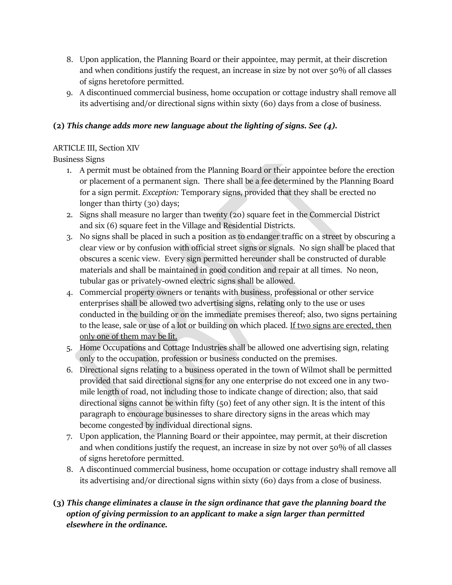- 8. Upon application, the Planning Board or their appointee, may permit, at their discretion and when conditions justify the request, an increase in size by not over 50% of all classes of signs heretofore permitted.
- 9. A discontinued commercial business, home occupation or cottage industry shall remove all its advertising and/or directional signs within sixty (60) days from a close of business.

# **(2)** *This change adds more new language about the lighting of signs. See (4).*

# ARTICLE III, Section XIV

Business Signs

- 1. A permit must be obtained from the Planning Board or their appointee before the erection or placement of a permanent sign. There shall be a fee determined by the Planning Board for a sign permit. *Exception:* Temporary signs, provided that they shall be erected no longer than thirty (30) days;
- 2. Signs shall measure no larger than twenty (20) square feet in the Commercial District and six (6) square feet in the Village and Residential Districts.
- 3. No signs shall be placed in such a position as to endanger traffic on a street by obscuring a clear view or by confusion with official street signs or signals. No sign shall be placed that obscures a scenic view. Every sign permitted hereunder shall be constructed of durable materials and shall be maintained in good condition and repair at all times. No neon, tubular gas or privately-owned electric signs shall be allowed.
- 4. Commercial property owners or tenants with business, professional or other service enterprises shall be allowed two advertising signs, relating only to the use or uses conducted in the building or on the immediate premises thereof; also, two signs pertaining to the lease, sale or use of a lot or building on which placed. If two signs are erected, then only one of them may be lit.
- 5. Home Occupations and Cottage Industries shall be allowed one advertising sign, relating only to the occupation, profession or business conducted on the premises.
- 6. Directional signs relating to a business operated in the town of Wilmot shall be permitted provided that said directional signs for any one enterprise do not exceed one in any twomile length of road, not including those to indicate change of direction; also, that said directional signs cannot be within fifty (50) feet of any other sign. It is the intent of this paragraph to encourage businesses to share directory signs in the areas which may become congested by individual directional signs.
- 7. Upon application, the Planning Board or their appointee, may permit, at their discretion and when conditions justify the request, an increase in size by not over 50% of all classes of signs heretofore permitted.
- 8. A discontinued commercial business, home occupation or cottage industry shall remove all its advertising and/or directional signs within sixty (60) days from a close of business.

# **(3)** *This change eliminates a clause in the sign ordinance that gave the planning board the option of giving permission to an applicant to make a sign larger than permitted elsewhere in the ordinance.*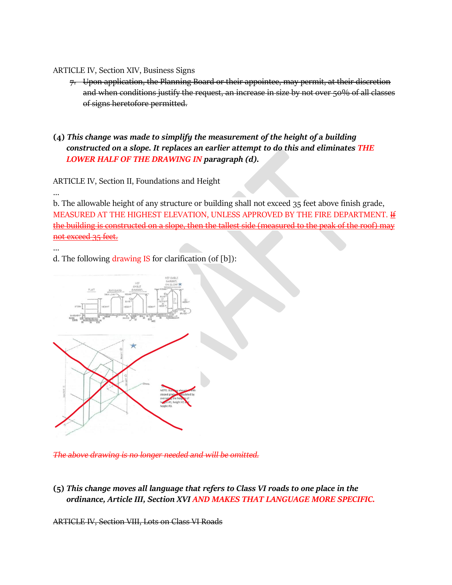#### ARTICLE IV, Section XIV, Business Signs

7. Upon application, the Planning Board or their appointee, may permit, at their discretion and when conditions justify the request, an increase in size by not over 50% of all classes of signs heretofore permitted.

# **(4)** *This change was made to simplify the measurement of the height of a building constructed on a slope. It replaces an earlier attempt to do this and eliminates THE LOWER HALF OF THE DRAWING IN paragraph (d).*

ARTICLE IV, Section II, Foundations and Height

b. The allowable height of any structure or building shall not exceed 35 feet above finish grade, MEASURED AT THE HIGHEST ELEVATION, UNLESS APPROVED BY THE FIRE DEPARTMENT*.* If the building is constructed on a slope, then the tallest side (measured to the peak of the roof) may not exceed 35 feet.

#### …

…

### d. The following drawing IS for clarification (of [b]):



*The above drawing is no longer needed and will be omitted.*

**(5)** *This change moves all language that refers to Class VI roads to one place in the ordinance, Article III, Section XVI AND MAKES THAT LANGUAGE MORE SPECIFIC.*

ARTICLE IV, Section VIII, Lots on Class VI Roads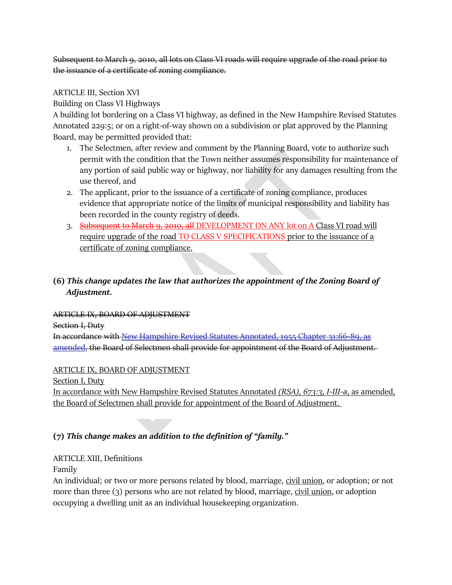Subsequent to March 9, 2010, all lots on Class VI roads will require upgrade of the road prior to the issuance of a certificate of zoning compliance.

### ARTICLE III, Section XVI

Building on Class VI Highways

A building lot bordering on a Class VI highway, as defined in the New Hampshire Revised Statutes Annotated 229:5; or on a right-of-way shown on a subdivision or plat approved by the Planning Board, may be permitted provided that:

- 1. The Selectmen, after review and comment by the Planning Board, vote to authorize such permit with the condition that the Town neither assumes responsibility for maintenance of any portion of said public way or highway, nor liability for any damages resulting from the use thereof, and
- 2. The applicant, prior to the issuance of a certificate of zoning compliance, produces evidence that appropriate notice of the limits of municipal responsibility and liability has been recorded in the county registry of deeds.
- 3. Subsequent to March 9, 2010, all DEVELOPMENT ON ANY lot on A Class VI road will require upgrade of the road TO CLASS V SPECIFICATIONS prior to the issuance of a certificate of zoning compliance.

# **(6)** *This change updates the law that authorizes the appointment of the Zoning Board of Adjustment.*

ARTICLE IX, BOARD OF ADJUSTMENT

Section I, Duty

In accordance with [New Hampshire Revised Statutes Annotated, 1955 Chapter 31:66-89, as](http://www.gencourt.state.nh.us/rsa/html/LXIV/673/673-3.htm)  [amended,](http://www.gencourt.state.nh.us/rsa/html/LXIV/673/673-3.htm) the Board of Selectmen shall provide for appointment of the Board of Adjustment.

### ARTICLE IX, BOARD OF ADJUSTMENT

Section I, Duty

In accordance with [New Hampshire Revised Statutes Annotated](http://www.gencourt.state.nh.us/rsa/html/LXIV/673/673-3.htm) *(RSA), 673:3, I-III-a*, as amended, the Board of Selectmen shall provide for appointment of the Board of Adjustment.

# **(7)** *This change makes an addition to the definition of "family."*

# ARTICLE XIII, Definitions

Family

An individual; or two or more persons related by blood, marriage, civil union, or adoption; or not more than three (3) persons who are not related by blood, marriage, civil union, or adoption occupying a dwelling unit as an individual housekeeping organization.